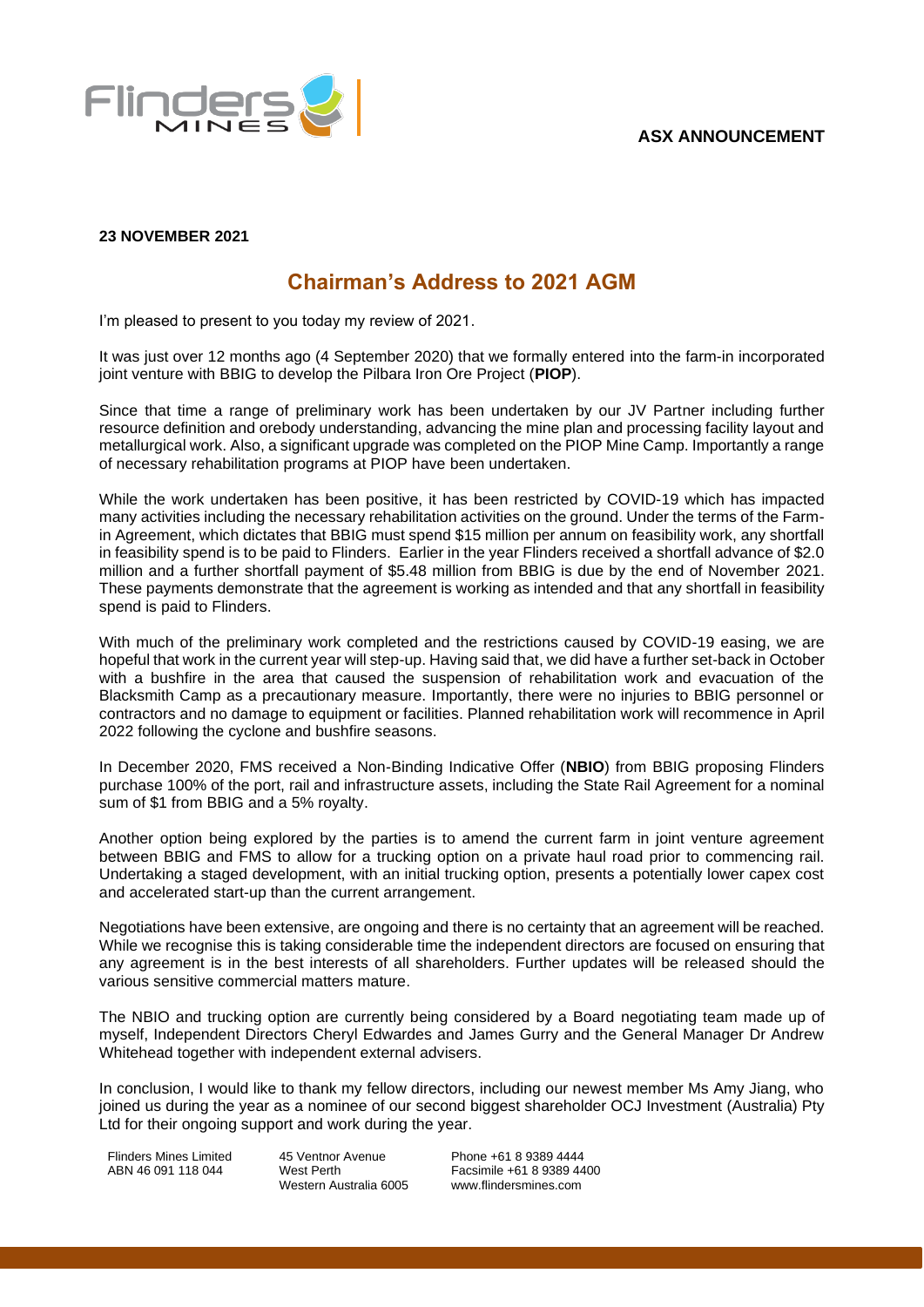

## **23 NOVEMBER 2021**

# **Chairman's Address to 2021 AGM**

I'm pleased to present to you today my review of 2021.

It was just over 12 months ago (4 September 2020) that we formally entered into the farm-in incorporated joint venture with BBIG to develop the Pilbara Iron Ore Project (**PIOP**).

Since that time a range of preliminary work has been undertaken by our JV Partner including further resource definition and orebody understanding, advancing the mine plan and processing facility layout and metallurgical work. Also, a significant upgrade was completed on the PIOP Mine Camp. Importantly a range of necessary rehabilitation programs at PIOP have been undertaken.

While the work undertaken has been positive, it has been restricted by COVID-19 which has impacted many activities including the necessary rehabilitation activities on the ground. Under the terms of the Farmin Agreement, which dictates that BBIG must spend \$15 million per annum on feasibility work, any shortfall in feasibility spend is to be paid to Flinders. Earlier in the year Flinders received a shortfall advance of \$2.0 million and a further shortfall payment of \$5.48 million from BBIG is due by the end of November 2021. These payments demonstrate that the agreement is working as intended and that any shortfall in feasibility spend is paid to Flinders.

With much of the preliminary work completed and the restrictions caused by COVID-19 easing, we are hopeful that work in the current year will step-up. Having said that, we did have a further set-back in October with a bushfire in the area that caused the suspension of rehabilitation work and evacuation of the Blacksmith Camp as a precautionary measure. Importantly, there were no injuries to BBIG personnel or contractors and no damage to equipment or facilities. Planned rehabilitation work will recommence in April 2022 following the cyclone and bushfire seasons.

In December 2020, FMS received a Non-Binding Indicative Offer (**NBIO**) from BBIG proposing Flinders purchase 100% of the port, rail and infrastructure assets, including the State Rail Agreement for a nominal sum of \$1 from BBIG and a 5% royalty.

Another option being explored by the parties is to amend the current farm in joint venture agreement between BBIG and FMS to allow for a trucking option on a private haul road prior to commencing rail. Undertaking a staged development, with an initial trucking option, presents a potentially lower capex cost and accelerated start-up than the current arrangement.

Negotiations have been extensive, are ongoing and there is no certainty that an agreement will be reached. While we recognise this is taking considerable time the independent directors are focused on ensuring that any agreement is in the best interests of all shareholders. Further updates will be released should the various sensitive commercial matters mature.

The NBIO and trucking option are currently being considered by a Board negotiating team made up of myself, Independent Directors Cheryl Edwardes and James Gurry and the General Manager Dr Andrew Whitehead together with independent external advisers.

In conclusion, I would like to thank my fellow directors, including our newest member Ms Amy Jiang, who joined us during the year as a nominee of our second biggest shareholder OCJ Investment (Australia) Pty Ltd for their ongoing support and work during the year.

Flinders Mines Limited ABN 46 091 118 044

45 Ventnor Avenue West Perth Western Australia 6005 Phone +61 8 9389 4444 Facsimile +61 8 9389 4400 www.flindersmines.com